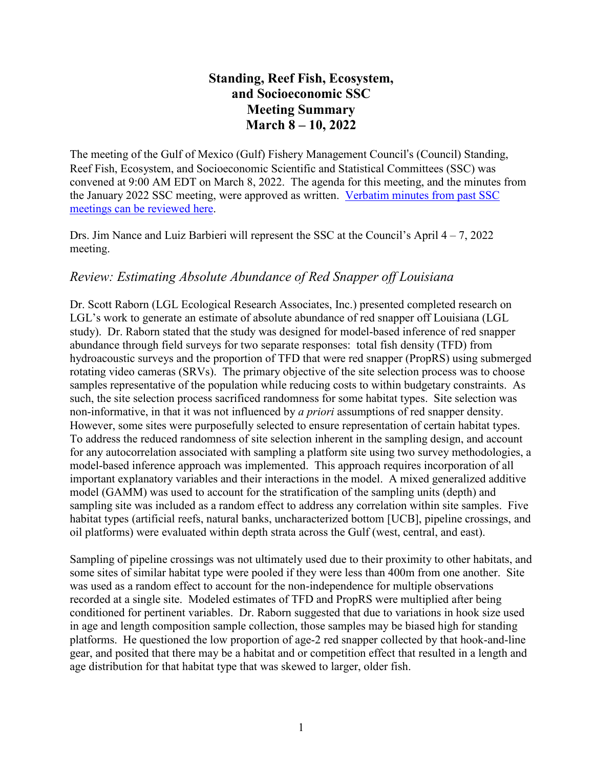# **Standing, Reef Fish, Ecosystem, and Socioeconomic SSC Meeting Summary March 8 – 10, 2022**

The meeting of the Gulf of Mexico (Gulf) Fishery Management Council's (Council) Standing, Reef Fish, Ecosystem, and Socioeconomic Scientific and Statistical Committees (SSC) was convened at 9:00 AM EDT on March 8, 2022. The agenda for this meeting, and the minutes from the January 2022 SSC meeting, were approved as written. [Verbatim](https://gulfcouncil.org/meetings/ssc/archive/) minutes from past SSC meetings can be [reviewed](https://gulfcouncil.org/meetings/ssc/archive/) here.

Drs. Jim Nance and Luiz Barbieri will represent the SSC at the Council's April 4 – 7, 2022 meeting.

## *Review: Estimating Absolute Abundance of Red Snapper off Louisiana*

Dr. Scott Raborn (LGL Ecological Research Associates, Inc.) presented completed research on LGL's work to generate an estimate of absolute abundance of red snapper off Louisiana (LGL study). Dr. Raborn stated that the study was designed for model-based inference of red snapper abundance through field surveys for two separate responses: total fish density (TFD) from hydroacoustic surveys and the proportion of TFD that were red snapper (PropRS) using submerged rotating video cameras (SRVs). The primary objective of the site selection process was to choose samples representative of the population while reducing costs to within budgetary constraints. As such, the site selection process sacrificed randomness for some habitat types. Site selection was non-informative, in that it was not influenced by *a priori* assumptions of red snapper density. However, some sites were purposefully selected to ensure representation of certain habitat types. To address the reduced randomness of site selection inherent in the sampling design, and account for any autocorrelation associated with sampling a platform site using two survey methodologies, a model-based inference approach was implemented. This approach requires incorporation of all important explanatory variables and their interactions in the model. A mixed generalized additive model (GAMM) was used to account for the stratification of the sampling units (depth) and sampling site was included as a random effect to address any correlation within site samples. Five habitat types (artificial reefs, natural banks, uncharacterized bottom [UCB], pipeline crossings, and oil platforms) were evaluated within depth strata across the Gulf (west, central, and east).

Sampling of pipeline crossings was not ultimately used due to their proximity to other habitats, and some sites of similar habitat type were pooled if they were less than 400m from one another. Site was used as a random effect to account for the non-independence for multiple observations recorded at a single site. Modeled estimates of TFD and PropRS were multiplied after being conditioned for pertinent variables. Dr. Raborn suggested that due to variations in hook size used in age and length composition sample collection, those samples may be biased high for standing platforms. He questioned the low proportion of age-2 red snapper collected by that hook-and-line gear, and posited that there may be a habitat and or competition effect that resulted in a length and age distribution for that habitat type that was skewed to larger, older fish.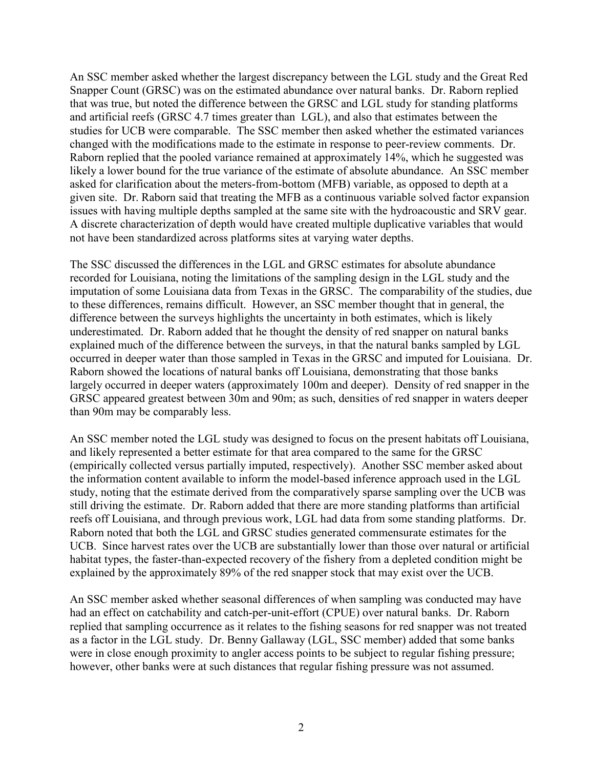An SSC member asked whether the largest discrepancy between the LGL study and the Great Red Snapper Count (GRSC) was on the estimated abundance over natural banks. Dr. Raborn replied that was true, but noted the difference between the GRSC and LGL study for standing platforms and artificial reefs (GRSC 4.7 times greater than LGL), and also that estimates between the studies for UCB were comparable. The SSC member then asked whether the estimated variances changed with the modifications made to the estimate in response to peer-review comments. Dr. Raborn replied that the pooled variance remained at approximately 14%, which he suggested was likely a lower bound for the true variance of the estimate of absolute abundance. An SSC member asked for clarification about the meters-from-bottom (MFB) variable, as opposed to depth at a given site. Dr. Raborn said that treating the MFB as a continuous variable solved factor expansion issues with having multiple depths sampled at the same site with the hydroacoustic and SRV gear. A discrete characterization of depth would have created multiple duplicative variables that would not have been standardized across platforms sites at varying water depths.

The SSC discussed the differences in the LGL and GRSC estimates for absolute abundance recorded for Louisiana, noting the limitations of the sampling design in the LGL study and the imputation of some Louisiana data from Texas in the GRSC. The comparability of the studies, due to these differences, remains difficult. However, an SSC member thought that in general, the difference between the surveys highlights the uncertainty in both estimates, which is likely underestimated. Dr. Raborn added that he thought the density of red snapper on natural banks explained much of the difference between the surveys, in that the natural banks sampled by LGL occurred in deeper water than those sampled in Texas in the GRSC and imputed for Louisiana. Dr. Raborn showed the locations of natural banks off Louisiana, demonstrating that those banks largely occurred in deeper waters (approximately 100m and deeper). Density of red snapper in the GRSC appeared greatest between 30m and 90m; as such, densities of red snapper in waters deeper than 90m may be comparably less.

An SSC member noted the LGL study was designed to focus on the present habitats off Louisiana, and likely represented a better estimate for that area compared to the same for the GRSC (empirically collected versus partially imputed, respectively). Another SSC member asked about the information content available to inform the model-based inference approach used in the LGL study, noting that the estimate derived from the comparatively sparse sampling over the UCB was still driving the estimate. Dr. Raborn added that there are more standing platforms than artificial reefs off Louisiana, and through previous work, LGL had data from some standing platforms. Dr. Raborn noted that both the LGL and GRSC studies generated commensurate estimates for the UCB. Since harvest rates over the UCB are substantially lower than those over natural or artificial habitat types, the faster-than-expected recovery of the fishery from a depleted condition might be explained by the approximately 89% of the red snapper stock that may exist over the UCB.

An SSC member asked whether seasonal differences of when sampling was conducted may have had an effect on catchability and catch-per-unit-effort (CPUE) over natural banks. Dr. Raborn replied that sampling occurrence as it relates to the fishing seasons for red snapper was not treated as a factor in the LGL study. Dr. Benny Gallaway (LGL, SSC member) added that some banks were in close enough proximity to angler access points to be subject to regular fishing pressure; however, other banks were at such distances that regular fishing pressure was not assumed.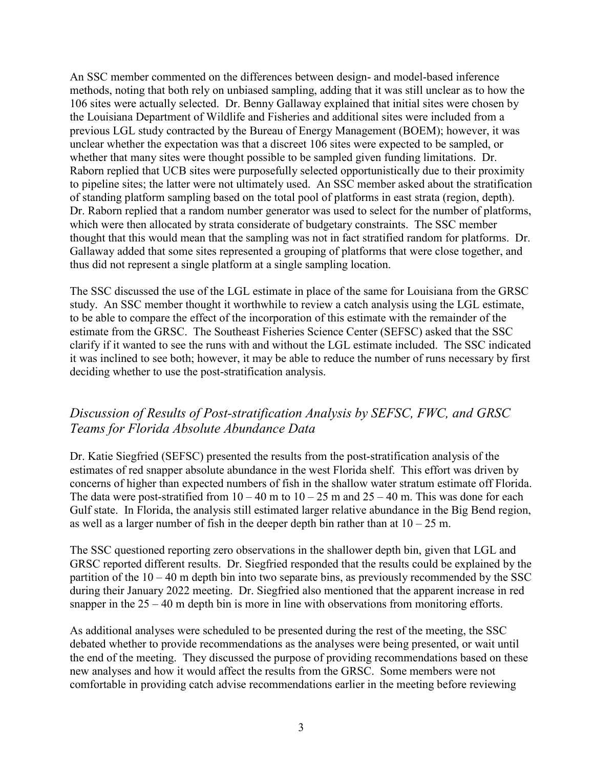An SSC member commented on the differences between design- and model-based inference methods, noting that both rely on unbiased sampling, adding that it was still unclear as to how the 106 sites were actually selected. Dr. Benny Gallaway explained that initial sites were chosen by the Louisiana Department of Wildlife and Fisheries and additional sites were included from a previous LGL study contracted by the Bureau of Energy Management (BOEM); however, it was unclear whether the expectation was that a discreet 106 sites were expected to be sampled, or whether that many sites were thought possible to be sampled given funding limitations. Dr. Raborn replied that UCB sites were purposefully selected opportunistically due to their proximity to pipeline sites; the latter were not ultimately used. An SSC member asked about the stratification of standing platform sampling based on the total pool of platforms in east strata (region, depth). Dr. Raborn replied that a random number generator was used to select for the number of platforms, which were then allocated by strata considerate of budgetary constraints. The SSC member thought that this would mean that the sampling was not in fact stratified random for platforms. Dr. Gallaway added that some sites represented a grouping of platforms that were close together, and thus did not represent a single platform at a single sampling location.

The SSC discussed the use of the LGL estimate in place of the same for Louisiana from the GRSC study. An SSC member thought it worthwhile to review a catch analysis using the LGL estimate, to be able to compare the effect of the incorporation of this estimate with the remainder of the estimate from the GRSC. The Southeast Fisheries Science Center (SEFSC) asked that the SSC clarify if it wanted to see the runs with and without the LGL estimate included. The SSC indicated it was inclined to see both; however, it may be able to reduce the number of runs necessary by first deciding whether to use the post-stratification analysis.

# *Discussion of Results of Post-stratification Analysis by SEFSC, FWC, and GRSC Teams for Florida Absolute Abundance Data*

Dr. Katie Siegfried (SEFSC) presented the results from the post-stratification analysis of the estimates of red snapper absolute abundance in the west Florida shelf. This effort was driven by concerns of higher than expected numbers of fish in the shallow water stratum estimate off Florida. The data were post-stratified from  $10 - 40$  m to  $10 - 25$  m and  $25 - 40$  m. This was done for each Gulf state. In Florida, the analysis still estimated larger relative abundance in the Big Bend region, as well as a larger number of fish in the deeper depth bin rather than at  $10 - 25$  m.

The SSC questioned reporting zero observations in the shallower depth bin, given that LGL and GRSC reported different results. Dr. Siegfried responded that the results could be explained by the partition of the  $10 - 40$  m depth bin into two separate bins, as previously recommended by the SSC during their January 2022 meeting. Dr. Siegfried also mentioned that the apparent increase in red snapper in the  $25 - 40$  m depth bin is more in line with observations from monitoring efforts.

As additional analyses were scheduled to be presented during the rest of the meeting, the SSC debated whether to provide recommendations as the analyses were being presented, or wait until the end of the meeting. They discussed the purpose of providing recommendations based on these new analyses and how it would affect the results from the GRSC. Some members were not comfortable in providing catch advise recommendations earlier in the meeting before reviewing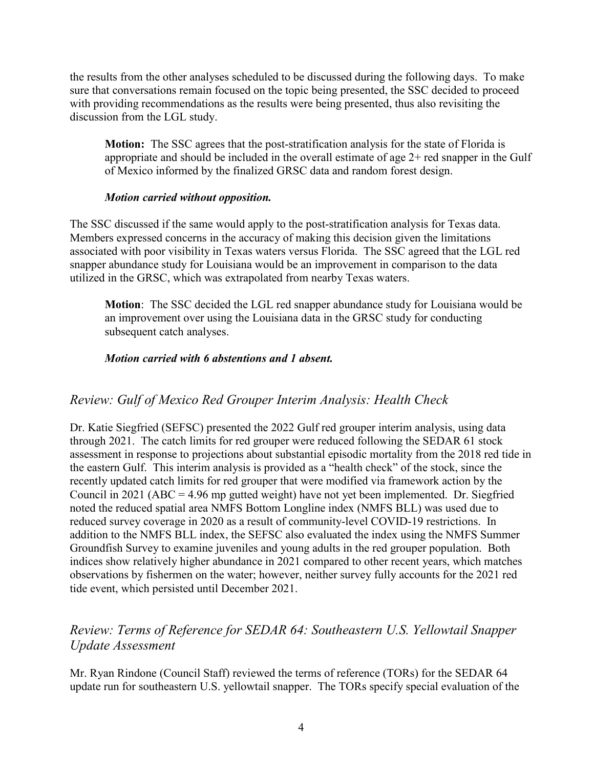the results from the other analyses scheduled to be discussed during the following days. To make sure that conversations remain focused on the topic being presented, the SSC decided to proceed with providing recommendations as the results were being presented, thus also revisiting the discussion from the LGL study.

**Motion:** The SSC agrees that the post-stratification analysis for the state of Florida is appropriate and should be included in the overall estimate of age 2+ red snapper in the Gulf of Mexico informed by the finalized GRSC data and random forest design.

#### *Motion carried without opposition.*

The SSC discussed if the same would apply to the post-stratification analysis for Texas data. Members expressed concerns in the accuracy of making this decision given the limitations associated with poor visibility in Texas waters versus Florida. The SSC agreed that the LGL red snapper abundance study for Louisiana would be an improvement in comparison to the data utilized in the GRSC, which was extrapolated from nearby Texas waters.

**Motion**: The SSC decided the LGL red snapper abundance study for Louisiana would be an improvement over using the Louisiana data in the GRSC study for conducting subsequent catch analyses.

### *Motion carried with 6 abstentions and 1 absent.*

## *Review: Gulf of Mexico Red Grouper Interim Analysis: Health Check*

Dr. Katie Siegfried (SEFSC) presented the 2022 Gulf red grouper interim analysis, using data through 2021. The catch limits for red grouper were reduced following the SEDAR 61 stock assessment in response to projections about substantial episodic mortality from the 2018 red tide in the eastern Gulf. This interim analysis is provided as a "health check" of the stock, since the recently updated catch limits for red grouper that were modified via framework action by the Council in 2021 (ABC = 4.96 mp gutted weight) have not yet been implemented. Dr. Siegfried noted the reduced spatial area NMFS Bottom Longline index (NMFS BLL) was used due to reduced survey coverage in 2020 as a result of community-level COVID-19 restrictions. In addition to the NMFS BLL index, the SEFSC also evaluated the index using the NMFS Summer Groundfish Survey to examine juveniles and young adults in the red grouper population. Both indices show relatively higher abundance in 2021 compared to other recent years, which matches observations by fishermen on the water; however, neither survey fully accounts for the 2021 red tide event, which persisted until December 2021.

## *Review: Terms of Reference for SEDAR 64: Southeastern U.S. Yellowtail Snapper Update Assessment*

Mr. Ryan Rindone (Council Staff) reviewed the terms of reference (TORs) for the SEDAR 64 update run for southeastern U.S. yellowtail snapper. The TORs specify special evaluation of the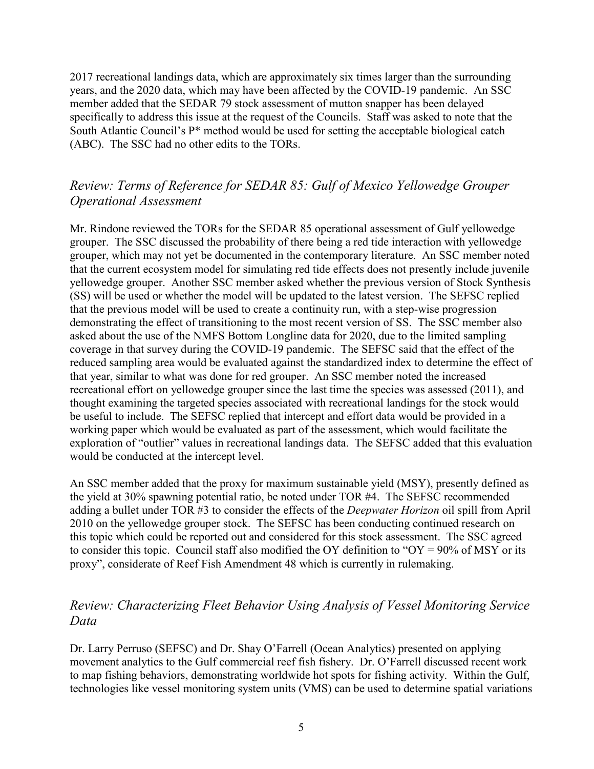2017 recreational landings data, which are approximately six times larger than the surrounding years, and the 2020 data, which may have been affected by the COVID-19 pandemic. An SSC member added that the SEDAR 79 stock assessment of mutton snapper has been delayed specifically to address this issue at the request of the Councils. Staff was asked to note that the South Atlantic Council's P\* method would be used for setting the acceptable biological catch (ABC). The SSC had no other edits to the TORs.

# *Review: Terms of Reference for SEDAR 85: Gulf of Mexico Yellowedge Grouper Operational Assessment*

Mr. Rindone reviewed the TORs for the SEDAR 85 operational assessment of Gulf yellowedge grouper. The SSC discussed the probability of there being a red tide interaction with yellowedge grouper, which may not yet be documented in the contemporary literature. An SSC member noted that the current ecosystem model for simulating red tide effects does not presently include juvenile yellowedge grouper. Another SSC member asked whether the previous version of Stock Synthesis (SS) will be used or whether the model will be updated to the latest version. The SEFSC replied that the previous model will be used to create a continuity run, with a step-wise progression demonstrating the effect of transitioning to the most recent version of SS. The SSC member also asked about the use of the NMFS Bottom Longline data for 2020, due to the limited sampling coverage in that survey during the COVID-19 pandemic. The SEFSC said that the effect of the reduced sampling area would be evaluated against the standardized index to determine the effect of that year, similar to what was done for red grouper. An SSC member noted the increased recreational effort on yellowedge grouper since the last time the species was assessed (2011), and thought examining the targeted species associated with recreational landings for the stock would be useful to include. The SEFSC replied that intercept and effort data would be provided in a working paper which would be evaluated as part of the assessment, which would facilitate the exploration of "outlier" values in recreational landings data. The SEFSC added that this evaluation would be conducted at the intercept level.

An SSC member added that the proxy for maximum sustainable yield (MSY), presently defined as the yield at 30% spawning potential ratio, be noted under TOR #4. The SEFSC recommended adding a bullet under TOR #3 to consider the effects of the *Deepwater Horizon* oil spill from April 2010 on the yellowedge grouper stock. The SEFSC has been conducting continued research on this topic which could be reported out and considered for this stock assessment. The SSC agreed to consider this topic. Council staff also modified the OY definition to "OY =  $90\%$  of MSY or its proxy", considerate of Reef Fish Amendment 48 which is currently in rulemaking.

# *Review: Characterizing Fleet Behavior Using Analysis of Vessel Monitoring Service Data*

Dr. Larry Perruso (SEFSC) and Dr. Shay O'Farrell (Ocean Analytics) presented on applying movement analytics to the Gulf commercial reef fish fishery. Dr. O'Farrell discussed recent work to map fishing behaviors, demonstrating worldwide hot spots for fishing activity. Within the Gulf, technologies like vessel monitoring system units (VMS) can be used to determine spatial variations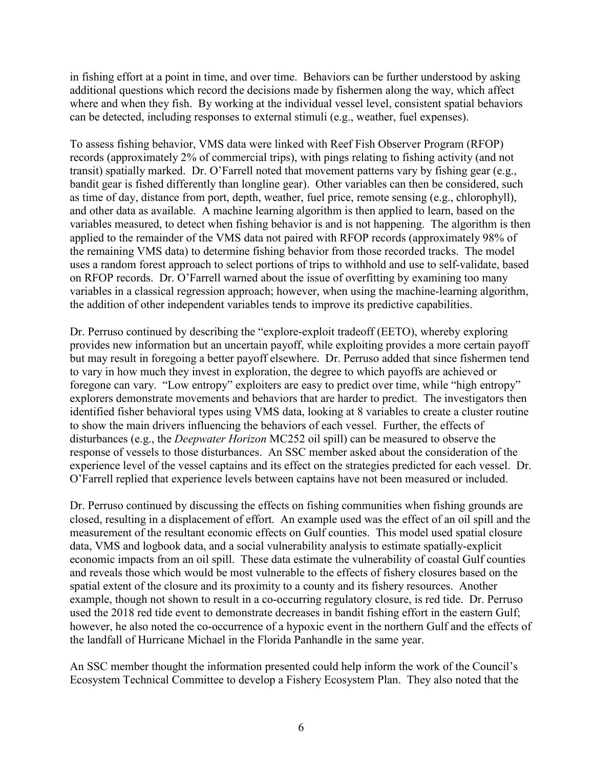in fishing effort at a point in time, and over time. Behaviors can be further understood by asking additional questions which record the decisions made by fishermen along the way, which affect where and when they fish. By working at the individual vessel level, consistent spatial behaviors can be detected, including responses to external stimuli (e.g., weather, fuel expenses).

To assess fishing behavior, VMS data were linked with Reef Fish Observer Program (RFOP) records (approximately 2% of commercial trips), with pings relating to fishing activity (and not transit) spatially marked. Dr. O'Farrell noted that movement patterns vary by fishing gear (e.g., bandit gear is fished differently than longline gear). Other variables can then be considered, such as time of day, distance from port, depth, weather, fuel price, remote sensing (e.g., chlorophyll), and other data as available. A machine learning algorithm is then applied to learn, based on the variables measured, to detect when fishing behavior is and is not happening. The algorithm is then applied to the remainder of the VMS data not paired with RFOP records (approximately 98% of the remaining VMS data) to determine fishing behavior from those recorded tracks. The model uses a random forest approach to select portions of trips to withhold and use to self-validate, based on RFOP records. Dr. O'Farrell warned about the issue of overfitting by examining too many variables in a classical regression approach; however, when using the machine-learning algorithm, the addition of other independent variables tends to improve its predictive capabilities.

Dr. Perruso continued by describing the "explore-exploit tradeoff (EETO), whereby exploring provides new information but an uncertain payoff, while exploiting provides a more certain payoff but may result in foregoing a better payoff elsewhere. Dr. Perruso added that since fishermen tend to vary in how much they invest in exploration, the degree to which payoffs are achieved or foregone can vary. "Low entropy" exploiters are easy to predict over time, while "high entropy" explorers demonstrate movements and behaviors that are harder to predict. The investigators then identified fisher behavioral types using VMS data, looking at 8 variables to create a cluster routine to show the main drivers influencing the behaviors of each vessel. Further, the effects of disturbances (e.g., the *Deepwater Horizon* MC252 oil spill) can be measured to observe the response of vessels to those disturbances. An SSC member asked about the consideration of the experience level of the vessel captains and its effect on the strategies predicted for each vessel. Dr. O'Farrell replied that experience levels between captains have not been measured or included.

Dr. Perruso continued by discussing the effects on fishing communities when fishing grounds are closed, resulting in a displacement of effort. An example used was the effect of an oil spill and the measurement of the resultant economic effects on Gulf counties. This model used spatial closure data, VMS and logbook data, and a social vulnerability analysis to estimate spatially-explicit economic impacts from an oil spill. These data estimate the vulnerability of coastal Gulf counties and reveals those which would be most vulnerable to the effects of fishery closures based on the spatial extent of the closure and its proximity to a county and its fishery resources. Another example, though not shown to result in a co-occurring regulatory closure, is red tide. Dr. Perruso used the 2018 red tide event to demonstrate decreases in bandit fishing effort in the eastern Gulf; however, he also noted the co-occurrence of a hypoxic event in the northern Gulf and the effects of the landfall of Hurricane Michael in the Florida Panhandle in the same year.

An SSC member thought the information presented could help inform the work of the Council's Ecosystem Technical Committee to develop a Fishery Ecosystem Plan. They also noted that the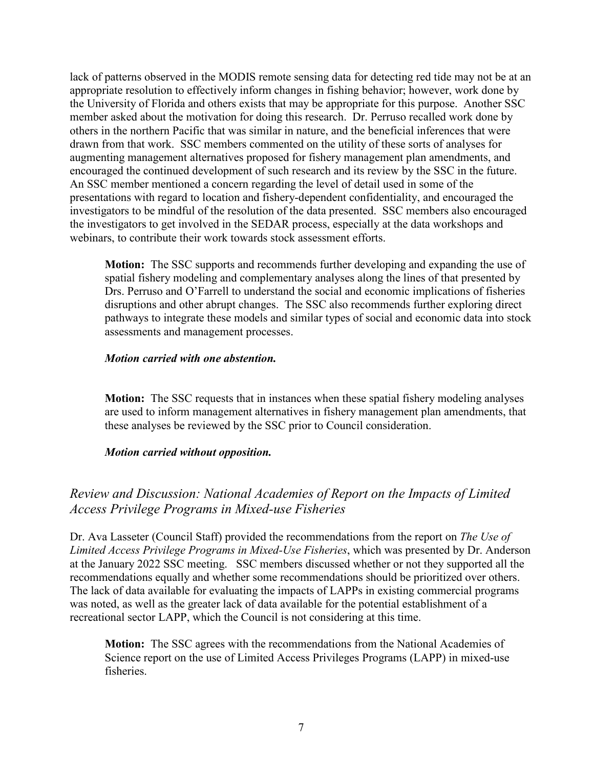lack of patterns observed in the MODIS remote sensing data for detecting red tide may not be at an appropriate resolution to effectively inform changes in fishing behavior; however, work done by the University of Florida and others exists that may be appropriate for this purpose. Another SSC member asked about the motivation for doing this research. Dr. Perruso recalled work done by others in the northern Pacific that was similar in nature, and the beneficial inferences that were drawn from that work. SSC members commented on the utility of these sorts of analyses for augmenting management alternatives proposed for fishery management plan amendments, and encouraged the continued development of such research and its review by the SSC in the future. An SSC member mentioned a concern regarding the level of detail used in some of the presentations with regard to location and fishery-dependent confidentiality, and encouraged the investigators to be mindful of the resolution of the data presented. SSC members also encouraged the investigators to get involved in the SEDAR process, especially at the data workshops and webinars, to contribute their work towards stock assessment efforts.

**Motion:** The SSC supports and recommends further developing and expanding the use of spatial fishery modeling and complementary analyses along the lines of that presented by Drs. Perruso and O'Farrell to understand the social and economic implications of fisheries disruptions and other abrupt changes. The SSC also recommends further exploring direct pathways to integrate these models and similar types of social and economic data into stock assessments and management processes.

#### *Motion carried with one abstention.*

**Motion:** The SSC requests that in instances when these spatial fishery modeling analyses are used to inform management alternatives in fishery management plan amendments, that these analyses be reviewed by the SSC prior to Council consideration.

#### *Motion carried without opposition.*

## *Review and Discussion: National Academies of Report on the Impacts of Limited Access Privilege Programs in Mixed-use Fisheries*

Dr. Ava Lasseter (Council Staff) provided the recommendations from the report on *The Use of Limited Access Privilege Programs in Mixed-Use Fisheries*, which was presented by Dr. Anderson at the January 2022 SSC meeting. SSC members discussed whether or not they supported all the recommendations equally and whether some recommendations should be prioritized over others. The lack of data available for evaluating the impacts of LAPPs in existing commercial programs was noted, as well as the greater lack of data available for the potential establishment of a recreational sector LAPP, which the Council is not considering at this time.

**Motion:** The SSC agrees with the recommendations from the National Academies of Science report on the use of Limited Access Privileges Programs (LAPP) in mixed-use fisheries.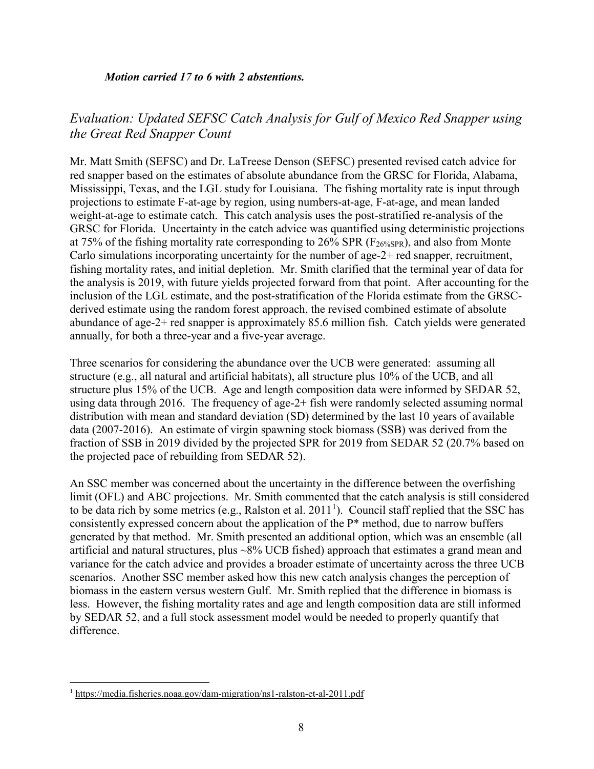#### *Motion carried 17 to 6 with 2 abstentions.*

# *Evaluation: Updated SEFSC Catch Analysis for Gulf of Mexico Red Snapper using the Great Red Snapper Count*

Mr. Matt Smith (SEFSC) and Dr. LaTreese Denson (SEFSC) presented revised catch advice for red snapper based on the estimates of absolute abundance from the GRSC for Florida, Alabama, Mississippi, Texas, and the LGL study for Louisiana. The fishing mortality rate is input through projections to estimate F-at-age by region, using numbers-at-age, F-at-age, and mean landed weight-at-age to estimate catch. This catch analysis uses the post-stratified re-analysis of the GRSC for Florida. Uncertainty in the catch advice was quantified using deterministic projections at 75% of the fishing mortality rate corresponding to 26% SPR ( $F_{26%SPR}$ ), and also from Monte Carlo simulations incorporating uncertainty for the number of age-2+ red snapper, recruitment, fishing mortality rates, and initial depletion. Mr. Smith clarified that the terminal year of data for the analysis is 2019, with future yields projected forward from that point. After accounting for the inclusion of the LGL estimate, and the post-stratification of the Florida estimate from the GRSCderived estimate using the random forest approach, the revised combined estimate of absolute abundance of age-2+ red snapper is approximately 85.6 million fish. Catch yields were generated annually, for both a three-year and a five-year average.

Three scenarios for considering the abundance over the UCB were generated: assuming all structure (e.g., all natural and artificial habitats), all structure plus 10% of the UCB, and all structure plus 15% of the UCB. Age and length composition data were informed by SEDAR 52, using data through 2016. The frequency of age-2+ fish were randomly selected assuming normal distribution with mean and standard deviation (SD) determined by the last 10 years of available data (2007-2016). An estimate of virgin spawning stock biomass (SSB) was derived from the fraction of SSB in 2019 divided by the projected SPR for 2019 from SEDAR 52 (20.7% based on the projected pace of rebuilding from SEDAR 52).

An SSC member was concerned about the uncertainty in the difference between the overfishing limit (OFL) and ABC projections. Mr. Smith commented that the catch analysis is still considered to be data rich by some metrics (e.g., Ralston et al.  $2011<sup>1</sup>$  $2011<sup>1</sup>$  $2011<sup>1</sup>$ ). Council staff replied that the SSC has consistently expressed concern about the application of the P\* method, due to narrow buffers generated by that method. Mr. Smith presented an additional option, which was an ensemble (all artificial and natural structures, plus ~8% UCB fished) approach that estimates a grand mean and variance for the catch advice and provides a broader estimate of uncertainty across the three UCB scenarios. Another SSC member asked how this new catch analysis changes the perception of biomass in the eastern versus western Gulf. Mr. Smith replied that the difference in biomass is less. However, the fishing mortality rates and age and length composition data are still informed by SEDAR 52, and a full stock assessment model would be needed to properly quantify that difference.

<span id="page-7-0"></span> <sup>1</sup> <https://media.fisheries.noaa.gov/dam-migration/ns1-ralston-et-al-2011.pdf>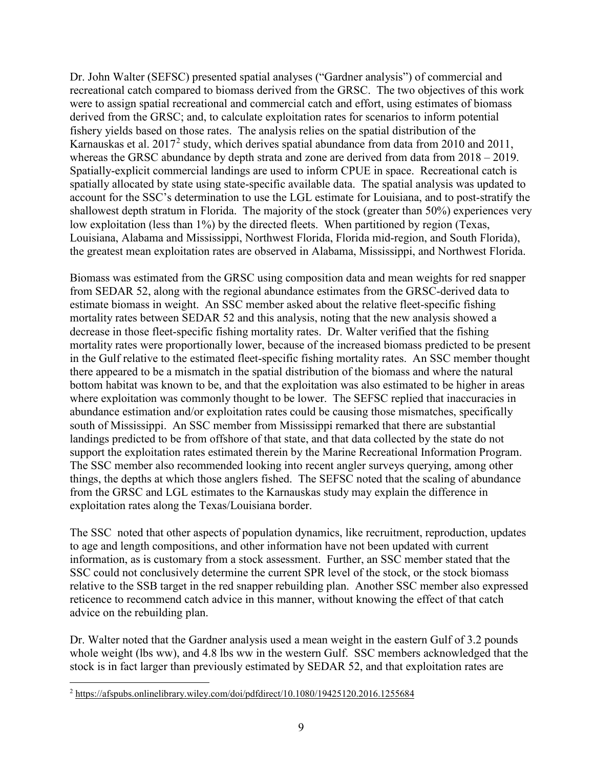Dr. John Walter (SEFSC) presented spatial analyses ("Gardner analysis") of commercial and recreational catch compared to biomass derived from the GRSC. The two objectives of this work were to assign spatial recreational and commercial catch and effort, using estimates of biomass derived from the GRSC; and, to calculate exploitation rates for scenarios to inform potential fishery yields based on those rates. The analysis relies on the spatial distribution of the Karnauskas et al. [2](#page-8-0)017<sup>2</sup> study, which derives spatial abundance from data from 2010 and 2011, whereas the GRSC abundance by depth strata and zone are derived from data from  $2018 - 2019$ . Spatially-explicit commercial landings are used to inform CPUE in space. Recreational catch is spatially allocated by state using state-specific available data. The spatial analysis was updated to account for the SSC's determination to use the LGL estimate for Louisiana, and to post-stratify the shallowest depth stratum in Florida. The majority of the stock (greater than 50%) experiences very low exploitation (less than 1%) by the directed fleets. When partitioned by region (Texas, Louisiana, Alabama and Mississippi, Northwest Florida, Florida mid-region, and South Florida), the greatest mean exploitation rates are observed in Alabama, Mississippi, and Northwest Florida.

Biomass was estimated from the GRSC using composition data and mean weights for red snapper from SEDAR 52, along with the regional abundance estimates from the GRSC-derived data to estimate biomass in weight. An SSC member asked about the relative fleet-specific fishing mortality rates between SEDAR 52 and this analysis, noting that the new analysis showed a decrease in those fleet-specific fishing mortality rates. Dr. Walter verified that the fishing mortality rates were proportionally lower, because of the increased biomass predicted to be present in the Gulf relative to the estimated fleet-specific fishing mortality rates. An SSC member thought there appeared to be a mismatch in the spatial distribution of the biomass and where the natural bottom habitat was known to be, and that the exploitation was also estimated to be higher in areas where exploitation was commonly thought to be lower. The SEFSC replied that inaccuracies in abundance estimation and/or exploitation rates could be causing those mismatches, specifically south of Mississippi. An SSC member from Mississippi remarked that there are substantial landings predicted to be from offshore of that state, and that data collected by the state do not support the exploitation rates estimated therein by the Marine Recreational Information Program. The SSC member also recommended looking into recent angler surveys querying, among other things, the depths at which those anglers fished. The SEFSC noted that the scaling of abundance from the GRSC and LGL estimates to the Karnauskas study may explain the difference in exploitation rates along the Texas/Louisiana border.

The SSC noted that other aspects of population dynamics, like recruitment, reproduction, updates to age and length compositions, and other information have not been updated with current information, as is customary from a stock assessment. Further, an SSC member stated that the SSC could not conclusively determine the current SPR level of the stock, or the stock biomass relative to the SSB target in the red snapper rebuilding plan. Another SSC member also expressed reticence to recommend catch advice in this manner, without knowing the effect of that catch advice on the rebuilding plan.

Dr. Walter noted that the Gardner analysis used a mean weight in the eastern Gulf of 3.2 pounds whole weight (lbs ww), and 4.8 lbs ww in the western Gulf. SSC members acknowledged that the stock is in fact larger than previously estimated by SEDAR 52, and that exploitation rates are

<span id="page-8-0"></span> <sup>2</sup> <https://afspubs.onlinelibrary.wiley.com/doi/pdfdirect/10.1080/19425120.2016.1255684>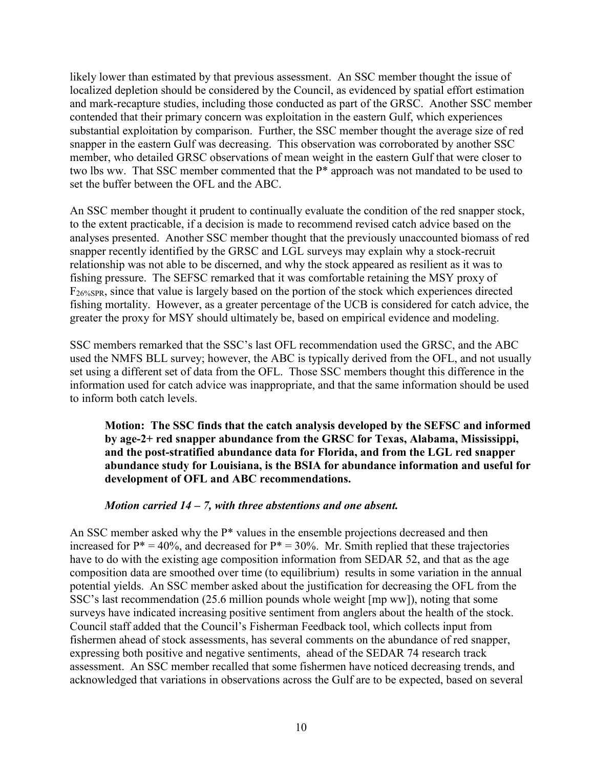likely lower than estimated by that previous assessment. An SSC member thought the issue of localized depletion should be considered by the Council, as evidenced by spatial effort estimation and mark-recapture studies, including those conducted as part of the GRSC. Another SSC member contended that their primary concern was exploitation in the eastern Gulf, which experiences substantial exploitation by comparison. Further, the SSC member thought the average size of red snapper in the eastern Gulf was decreasing. This observation was corroborated by another SSC member, who detailed GRSC observations of mean weight in the eastern Gulf that were closer to two lbs ww. That SSC member commented that the P\* approach was not mandated to be used to set the buffer between the OFL and the ABC.

An SSC member thought it prudent to continually evaluate the condition of the red snapper stock, to the extent practicable, if a decision is made to recommend revised catch advice based on the analyses presented. Another SSC member thought that the previously unaccounted biomass of red snapper recently identified by the GRSC and LGL surveys may explain why a stock-recruit relationship was not able to be discerned, and why the stock appeared as resilient as it was to fishing pressure. The SEFSC remarked that it was comfortable retaining the MSY proxy of F26%SPR, since that value is largely based on the portion of the stock which experiences directed fishing mortality. However, as a greater percentage of the UCB is considered for catch advice, the greater the proxy for MSY should ultimately be, based on empirical evidence and modeling.

SSC members remarked that the SSC's last OFL recommendation used the GRSC, and the ABC used the NMFS BLL survey; however, the ABC is typically derived from the OFL, and not usually set using a different set of data from the OFL. Those SSC members thought this difference in the information used for catch advice was inappropriate, and that the same information should be used to inform both catch levels.

**Motion: The SSC finds that the catch analysis developed by the SEFSC and informed by age-2+ red snapper abundance from the GRSC for Texas, Alabama, Mississippi, and the post-stratified abundance data for Florida, and from the LGL red snapper abundance study for Louisiana, is the BSIA for abundance information and useful for development of OFL and ABC recommendations.**

#### *Motion carried 14 – 7, with three abstentions and one absent.*

An SSC member asked why the P\* values in the ensemble projections decreased and then increased for  $P^* = 40\%$ , and decreased for  $P^* = 30\%$ . Mr. Smith replied that these trajectories have to do with the existing age composition information from SEDAR 52, and that as the age composition data are smoothed over time (to equilibrium) results in some variation in the annual potential yields. An SSC member asked about the justification for decreasing the OFL from the SSC's last recommendation (25.6 million pounds whole weight [mp ww]), noting that some surveys have indicated increasing positive sentiment from anglers about the health of the stock. Council staff added that the Council's Fisherman Feedback tool, which collects input from fishermen ahead of stock assessments, has several comments on the abundance of red snapper, expressing both positive and negative sentiments, ahead of the SEDAR 74 research track assessment. An SSC member recalled that some fishermen have noticed decreasing trends, and acknowledged that variations in observations across the Gulf are to be expected, based on several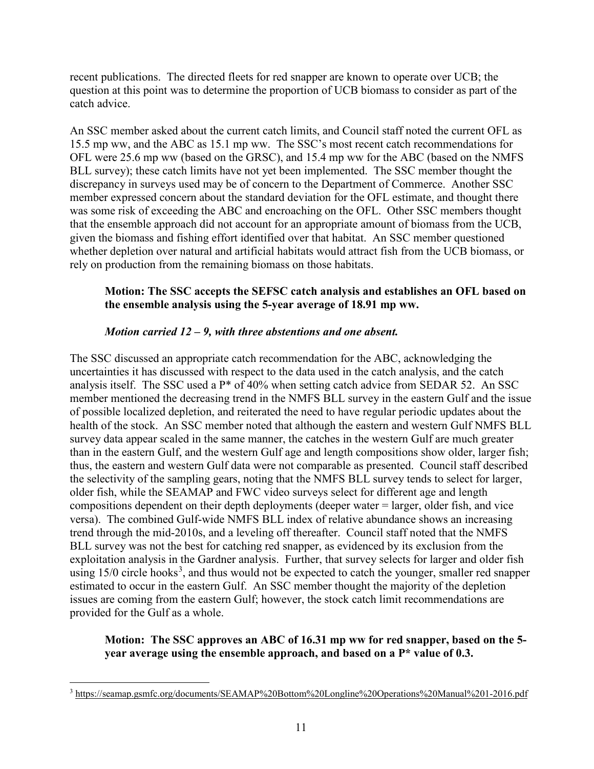recent publications. The directed fleets for red snapper are known to operate over UCB; the question at this point was to determine the proportion of UCB biomass to consider as part of the catch advice.

An SSC member asked about the current catch limits, and Council staff noted the current OFL as 15.5 mp ww, and the ABC as 15.1 mp ww. The SSC's most recent catch recommendations for OFL were 25.6 mp ww (based on the GRSC), and 15.4 mp ww for the ABC (based on the NMFS BLL survey); these catch limits have not yet been implemented. The SSC member thought the discrepancy in surveys used may be of concern to the Department of Commerce. Another SSC member expressed concern about the standard deviation for the OFL estimate, and thought there was some risk of exceeding the ABC and encroaching on the OFL. Other SSC members thought that the ensemble approach did not account for an appropriate amount of biomass from the UCB, given the biomass and fishing effort identified over that habitat. An SSC member questioned whether depletion over natural and artificial habitats would attract fish from the UCB biomass, or rely on production from the remaining biomass on those habitats.

## **Motion: The SSC accepts the SEFSC catch analysis and establishes an OFL based on the ensemble analysis using the 5-year average of 18.91 mp ww.**

### *Motion carried 12 – 9, with three abstentions and one absent.*

The SSC discussed an appropriate catch recommendation for the ABC, acknowledging the uncertainties it has discussed with respect to the data used in the catch analysis, and the catch analysis itself. The SSC used a P\* of 40% when setting catch advice from SEDAR 52. An SSC member mentioned the decreasing trend in the NMFS BLL survey in the eastern Gulf and the issue of possible localized depletion, and reiterated the need to have regular periodic updates about the health of the stock. An SSC member noted that although the eastern and western Gulf NMFS BLL survey data appear scaled in the same manner, the catches in the western Gulf are much greater than in the eastern Gulf, and the western Gulf age and length compositions show older, larger fish; thus, the eastern and western Gulf data were not comparable as presented. Council staff described the selectivity of the sampling gears, noting that the NMFS BLL survey tends to select for larger, older fish, while the SEAMAP and FWC video surveys select for different age and length compositions dependent on their depth deployments (deeper water = larger, older fish, and vice versa). The combined Gulf-wide NMFS BLL index of relative abundance shows an increasing trend through the mid-2010s, and a leveling off thereafter. Council staff noted that the NMFS BLL survey was not the best for catching red snapper, as evidenced by its exclusion from the exploitation analysis in the Gardner analysis. Further, that survey selects for larger and older fish using  $15/0$  circle hooks<sup>[3](#page-10-0)</sup>, and thus would not be expected to catch the younger, smaller red snapper estimated to occur in the eastern Gulf. An SSC member thought the majority of the depletion issues are coming from the eastern Gulf; however, the stock catch limit recommendations are provided for the Gulf as a whole.

#### **Motion: The SSC approves an ABC of 16.31 mp ww for red snapper, based on the 5 year average using the ensemble approach, and based on a P\* value of 0.3.**

<span id="page-10-0"></span> <sup>3</sup> <https://seamap.gsmfc.org/documents/SEAMAP%20Bottom%20Longline%20Operations%20Manual%201-2016.pdf>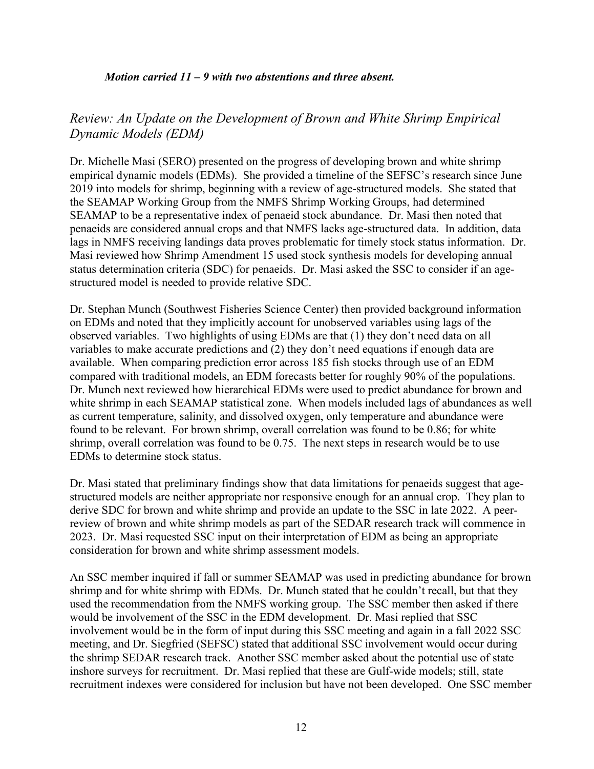#### *Motion carried 11 – 9 with two abstentions and three absent.*

## *Review: An Update on the Development of Brown and White Shrimp Empirical Dynamic Models (EDM)*

Dr. Michelle Masi (SERO) presented on the progress of developing brown and white shrimp empirical dynamic models (EDMs). She provided a timeline of the SEFSC's research since June 2019 into models for shrimp, beginning with a review of age-structured models. She stated that the SEAMAP Working Group from the NMFS Shrimp Working Groups, had determined SEAMAP to be a representative index of penaeid stock abundance. Dr. Masi then noted that penaeids are considered annual crops and that NMFS lacks age-structured data. In addition, data lags in NMFS receiving landings data proves problematic for timely stock status information. Dr. Masi reviewed how Shrimp Amendment 15 used stock synthesis models for developing annual status determination criteria (SDC) for penaeids. Dr. Masi asked the SSC to consider if an agestructured model is needed to provide relative SDC.

Dr. Stephan Munch (Southwest Fisheries Science Center) then provided background information on EDMs and noted that they implicitly account for unobserved variables using lags of the observed variables. Two highlights of using EDMs are that (1) they don't need data on all variables to make accurate predictions and (2) they don't need equations if enough data are available. When comparing prediction error across 185 fish stocks through use of an EDM compared with traditional models, an EDM forecasts better for roughly 90% of the populations. Dr. Munch next reviewed how hierarchical EDMs were used to predict abundance for brown and white shrimp in each SEAMAP statistical zone. When models included lags of abundances as well as current temperature, salinity, and dissolved oxygen, only temperature and abundance were found to be relevant. For brown shrimp, overall correlation was found to be 0.86; for white shrimp, overall correlation was found to be 0.75. The next steps in research would be to use EDMs to determine stock status.

Dr. Masi stated that preliminary findings show that data limitations for penaeids suggest that agestructured models are neither appropriate nor responsive enough for an annual crop. They plan to derive SDC for brown and white shrimp and provide an update to the SSC in late 2022. A peerreview of brown and white shrimp models as part of the SEDAR research track will commence in 2023. Dr. Masi requested SSC input on their interpretation of EDM as being an appropriate consideration for brown and white shrimp assessment models.

An SSC member inquired if fall or summer SEAMAP was used in predicting abundance for brown shrimp and for white shrimp with EDMs. Dr. Munch stated that he couldn't recall, but that they used the recommendation from the NMFS working group. The SSC member then asked if there would be involvement of the SSC in the EDM development. Dr. Masi replied that SSC involvement would be in the form of input during this SSC meeting and again in a fall 2022 SSC meeting, and Dr. Siegfried (SEFSC) stated that additional SSC involvement would occur during the shrimp SEDAR research track. Another SSC member asked about the potential use of state inshore surveys for recruitment. Dr. Masi replied that these are Gulf-wide models; still, state recruitment indexes were considered for inclusion but have not been developed. One SSC member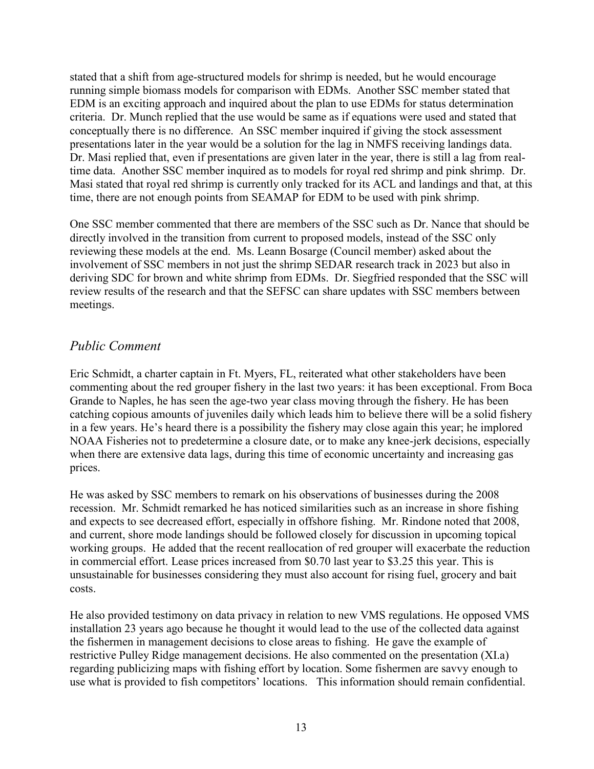stated that a shift from age-structured models for shrimp is needed, but he would encourage running simple biomass models for comparison with EDMs. Another SSC member stated that EDM is an exciting approach and inquired about the plan to use EDMs for status determination criteria. Dr. Munch replied that the use would be same as if equations were used and stated that conceptually there is no difference. An SSC member inquired if giving the stock assessment presentations later in the year would be a solution for the lag in NMFS receiving landings data. Dr. Masi replied that, even if presentations are given later in the year, there is still a lag from realtime data. Another SSC member inquired as to models for royal red shrimp and pink shrimp. Dr. Masi stated that royal red shrimp is currently only tracked for its ACL and landings and that, at this time, there are not enough points from SEAMAP for EDM to be used with pink shrimp.

One SSC member commented that there are members of the SSC such as Dr. Nance that should be directly involved in the transition from current to proposed models, instead of the SSC only reviewing these models at the end. Ms. Leann Bosarge (Council member) asked about the involvement of SSC members in not just the shrimp SEDAR research track in 2023 but also in deriving SDC for brown and white shrimp from EDMs. Dr. Siegfried responded that the SSC will review results of the research and that the SEFSC can share updates with SSC members between meetings.

## *Public Comment*

Eric Schmidt, a charter captain in Ft. Myers, FL, reiterated what other stakeholders have been commenting about the red grouper fishery in the last two years: it has been exceptional. From Boca Grande to Naples, he has seen the age-two year class moving through the fishery. He has been catching copious amounts of juveniles daily which leads him to believe there will be a solid fishery in a few years. He's heard there is a possibility the fishery may close again this year; he implored NOAA Fisheries not to predetermine a closure date, or to make any knee-jerk decisions, especially when there are extensive data lags, during this time of economic uncertainty and increasing gas prices.

He was asked by SSC members to remark on his observations of businesses during the 2008 recession. Mr. Schmidt remarked he has noticed similarities such as an increase in shore fishing and expects to see decreased effort, especially in offshore fishing. Mr. Rindone noted that 2008, and current, shore mode landings should be followed closely for discussion in upcoming topical working groups. He added that the recent reallocation of red grouper will exacerbate the reduction in commercial effort. Lease prices increased from \$0.70 last year to \$3.25 this year. This is unsustainable for businesses considering they must also account for rising fuel, grocery and bait costs.

He also provided testimony on data privacy in relation to new VMS regulations. He opposed VMS installation 23 years ago because he thought it would lead to the use of the collected data against the fishermen in management decisions to close areas to fishing. He gave the example of restrictive Pulley Ridge management decisions. He also commented on the presentation (XI.a) regarding publicizing maps with fishing effort by location. Some fishermen are savvy enough to use what is provided to fish competitors' locations. This information should remain confidential.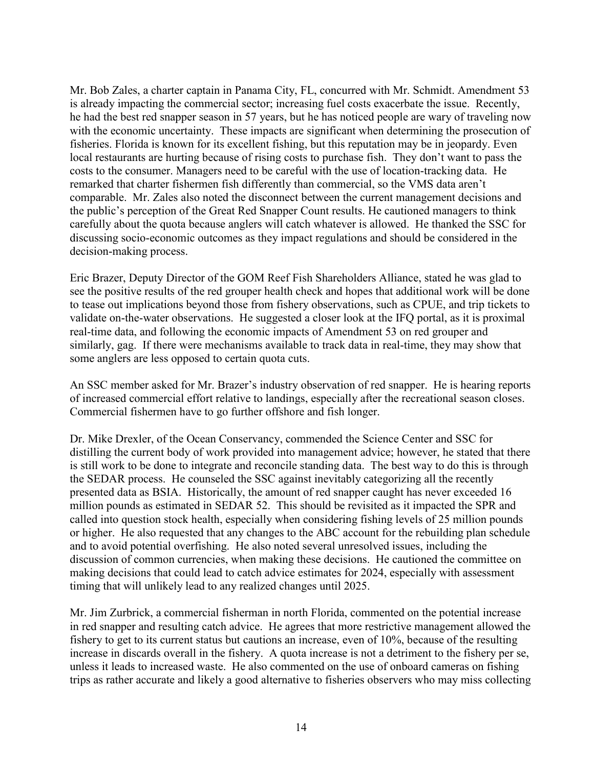Mr. Bob Zales, a charter captain in Panama City, FL, concurred with Mr. Schmidt. Amendment 53 is already impacting the commercial sector; increasing fuel costs exacerbate the issue. Recently, he had the best red snapper season in 57 years, but he has noticed people are wary of traveling now with the economic uncertainty. These impacts are significant when determining the prosecution of fisheries. Florida is known for its excellent fishing, but this reputation may be in jeopardy. Even local restaurants are hurting because of rising costs to purchase fish. They don't want to pass the costs to the consumer. Managers need to be careful with the use of location-tracking data. He remarked that charter fishermen fish differently than commercial, so the VMS data aren't comparable. Mr. Zales also noted the disconnect between the current management decisions and the public's perception of the Great Red Snapper Count results. He cautioned managers to think carefully about the quota because anglers will catch whatever is allowed. He thanked the SSC for discussing socio-economic outcomes as they impact regulations and should be considered in the decision-making process.

Eric Brazer, Deputy Director of the GOM Reef Fish Shareholders Alliance, stated he was glad to see the positive results of the red grouper health check and hopes that additional work will be done to tease out implications beyond those from fishery observations, such as CPUE, and trip tickets to validate on-the-water observations. He suggested a closer look at the IFQ portal, as it is proximal real-time data, and following the economic impacts of Amendment 53 on red grouper and similarly, gag. If there were mechanisms available to track data in real-time, they may show that some anglers are less opposed to certain quota cuts.

An SSC member asked for Mr. Brazer's industry observation of red snapper. He is hearing reports of increased commercial effort relative to landings, especially after the recreational season closes. Commercial fishermen have to go further offshore and fish longer.

Dr. Mike Drexler, of the Ocean Conservancy, commended the Science Center and SSC for distilling the current body of work provided into management advice; however, he stated that there is still work to be done to integrate and reconcile standing data. The best way to do this is through the SEDAR process. He counseled the SSC against inevitably categorizing all the recently presented data as BSIA. Historically, the amount of red snapper caught has never exceeded 16 million pounds as estimated in SEDAR 52. This should be revisited as it impacted the SPR and called into question stock health, especially when considering fishing levels of 25 million pounds or higher. He also requested that any changes to the ABC account for the rebuilding plan schedule and to avoid potential overfishing. He also noted several unresolved issues, including the discussion of common currencies, when making these decisions. He cautioned the committee on making decisions that could lead to catch advice estimates for 2024, especially with assessment timing that will unlikely lead to any realized changes until 2025.

Mr. Jim Zurbrick, a commercial fisherman in north Florida, commented on the potential increase in red snapper and resulting catch advice. He agrees that more restrictive management allowed the fishery to get to its current status but cautions an increase, even of 10%, because of the resulting increase in discards overall in the fishery. A quota increase is not a detriment to the fishery per se, unless it leads to increased waste. He also commented on the use of onboard cameras on fishing trips as rather accurate and likely a good alternative to fisheries observers who may miss collecting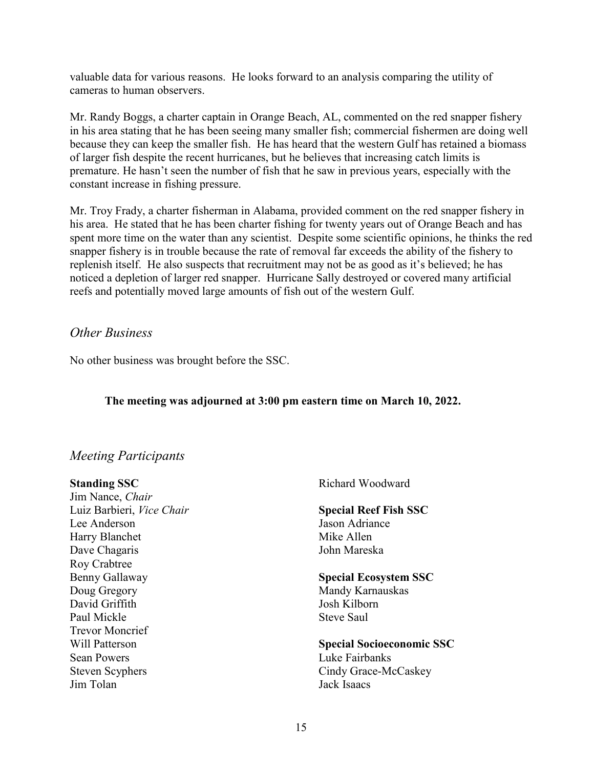valuable data for various reasons. He looks forward to an analysis comparing the utility of cameras to human observers.

Mr. Randy Boggs, a charter captain in Orange Beach, AL, commented on the red snapper fishery in his area stating that he has been seeing many smaller fish; commercial fishermen are doing well because they can keep the smaller fish. He has heard that the western Gulf has retained a biomass of larger fish despite the recent hurricanes, but he believes that increasing catch limits is premature. He hasn't seen the number of fish that he saw in previous years, especially with the constant increase in fishing pressure.

Mr. Troy Frady, a charter fisherman in Alabama, provided comment on the red snapper fishery in his area. He stated that he has been charter fishing for twenty years out of Orange Beach and has spent more time on the water than any scientist. Despite some scientific opinions, he thinks the red snapper fishery is in trouble because the rate of removal far exceeds the ability of the fishery to replenish itself. He also suspects that recruitment may not be as good as it's believed; he has noticed a depletion of larger red snapper. Hurricane Sally destroyed or covered many artificial reefs and potentially moved large amounts of fish out of the western Gulf.

## *Other Business*

No other business was brought before the SSC.

### **The meeting was adjourned at 3:00 pm eastern time on March 10, 2022.**

### *Meeting Participants*

**Standing SSC** Jim Nance, *Chair* Luiz Barbieri, *Vice Chair* Lee Anderson Harry Blanchet Dave Chagaris Roy Crabtree Benny Gallaway Doug Gregory David Griffith Paul Mickle Trevor Moncrief Will Patterson Sean Powers Steven Scyphers Jim Tolan Mike Allen John Mareska Mandy Karnauskas Josh Kilborn Steve Saul Jack Isaacs

Richard Woodward

# **Special Reef Fish SSC** Jason Adriance

# **Special Ecosystem SSC**

# **Special Socioeconomic SSC** Luke Fairbanks Cindy Grace-McCaskey